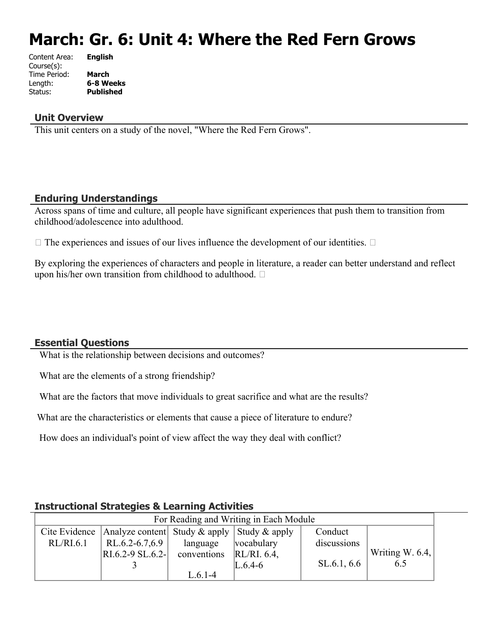# **March: Gr. 6: Unit 4: Where the Red Fern Grows**

| Content Area: | <b>English</b>   |
|---------------|------------------|
| Course(s):    |                  |
| Time Period:  | March            |
| Length:       | 6-8 Weeks        |
| Status:       | <b>Published</b> |
|               |                  |

#### **Unit Overview**

This unit centers on a study of the novel, "Where the Red Fern Grows".

#### **Enduring Understandings**

Across spans of time and culture, all people have significant experiences that push them to transition from childhood/adolescence into adulthood.

 $\Box$  The experiences and issues of our lives influence the development of our identities.  $\Box$ 

By exploring the experiences of characters and people in literature, a reader can better understand and reflect upon his/her own transition from childhood to adulthood.  $\square$ 

#### **Essential Questions**

What is the relationship between decisions and outcomes?

What are the elements of a strong friendship?

What are the factors that move individuals to great sacrifice and what are the results?

What are the characteristics or elements that cause a piece of literature to endure?

How does an individual's point of view affect the way they deal with conflict?

| For Reading and Writing in Each Module |                                                                |             |            |             |                    |
|----------------------------------------|----------------------------------------------------------------|-------------|------------|-------------|--------------------|
|                                        | Cite Evidence   Analyze content  Study & apply   Study & apply |             |            | Conduct     |                    |
| RL/RI.6.1                              | RL.6.2-6.7,6.9                                                 | language    | vocabulary | discussions |                    |
|                                        | $RI.6.2 - 9 SL.6.2 -$                                          | conventions | RL/RI. 6.4 |             | Writing W. $6.4$ . |
|                                        |                                                                |             | $L.6.4-6$  | SL.6.1, 6.6 | 6.5                |
|                                        |                                                                | $L.6.1-4$   |            |             |                    |

#### **Instructional Strategies & Learning Activities**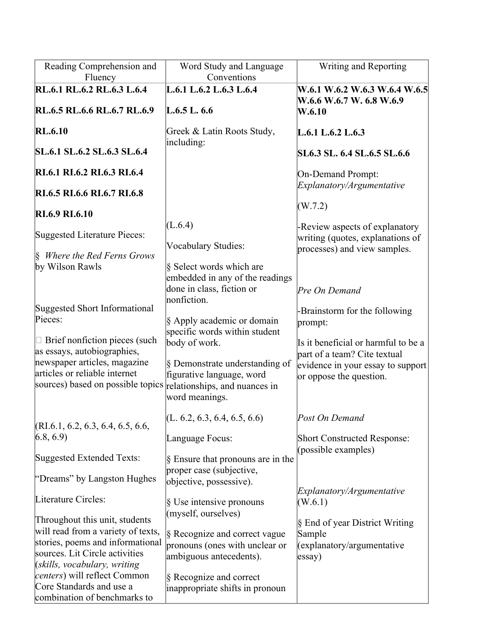| Reading Comprehension and<br>Fluency                                                                                                                                                                                                                                              | Word Study and Language<br>Conventions                                                                                                                                                                    | Writing and Reporting                                                                                                                                                                            |
|-----------------------------------------------------------------------------------------------------------------------------------------------------------------------------------------------------------------------------------------------------------------------------------|-----------------------------------------------------------------------------------------------------------------------------------------------------------------------------------------------------------|--------------------------------------------------------------------------------------------------------------------------------------------------------------------------------------------------|
| RL.6.1 RL.6.2 RL.6.3 L.6.4                                                                                                                                                                                                                                                        | L.6.1 L.6.2 L.6.3 L.6.4                                                                                                                                                                                   | W.6.1 W.6.2 W.6.3 W.6.4 W.6.5<br>W.6.6 W.6.7 W.6.8 W.6.9                                                                                                                                         |
| RL.6.5 RL.6.6 RL.6.7 RL.6.9                                                                                                                                                                                                                                                       | L.6.5 L.6.6                                                                                                                                                                                               | W.6.10                                                                                                                                                                                           |
| <b>RL.6.10</b>                                                                                                                                                                                                                                                                    | Greek & Latin Roots Study,<br>including:                                                                                                                                                                  | L.6.1 L.6.2 L.6.3                                                                                                                                                                                |
| SL.6.1 SL.6.2 SL.6.3 SL.6.4                                                                                                                                                                                                                                                       |                                                                                                                                                                                                           | <b>SL6.3 SL. 6.4 SL.6.5 SL.6.6</b>                                                                                                                                                               |
| RI.6.1 RI.6.2 RI.6.3 RI.6.4                                                                                                                                                                                                                                                       |                                                                                                                                                                                                           | On-Demand Prompt:<br>Explanatory/Argumentative                                                                                                                                                   |
| RI.6.5 RI.6.6 RI.6.7 RI.6.8                                                                                                                                                                                                                                                       |                                                                                                                                                                                                           |                                                                                                                                                                                                  |
| <b>RI.6.9 RI.6.10</b>                                                                                                                                                                                                                                                             |                                                                                                                                                                                                           | (W.7.2)                                                                                                                                                                                          |
| Suggested Literature Pieces:                                                                                                                                                                                                                                                      | (L.6.4)                                                                                                                                                                                                   | -Review aspects of explanatory<br>writing (quotes, explanations of                                                                                                                               |
| $\&$ Where the Red Ferns Grows<br>by Wilson Rawls                                                                                                                                                                                                                                 | Vocabulary Studies:<br>§ Select words which are<br>embedded in any of the readings                                                                                                                        | processes) and view samples.                                                                                                                                                                     |
| Suggested Short Informational<br>Pieces:<br>$\Box$ Brief nonfiction pieces (such<br>as essays, autobiographies,<br>newspaper articles, magazine<br>articles or reliable internet<br>sources) based on possible topics relationships, and nuances in                               | done in class, fiction or<br>nonfiction.<br>§ Apply academic or domain<br>specific words within student<br>body of work.<br>§ Demonstrate understanding of<br>figurative language, word<br>word meanings. | Pre On Demand<br>-Brainstorm for the following<br>prompt:<br>Is it beneficial or harmful to be a<br>part of a team? Cite textual<br>evidence in your essay to support<br>or oppose the question. |
| (RI.6.1, 6.2, 6.3, 6.4, 6.5, 6.6,                                                                                                                                                                                                                                                 | (L. 6.2, 6.3, 6.4, 6.5, 6.6)                                                                                                                                                                              | Post On Demand                                                                                                                                                                                   |
| (6.8, 6.9)                                                                                                                                                                                                                                                                        | Language Focus:                                                                                                                                                                                           | <b>Short Constructed Response:</b>                                                                                                                                                               |
| Suggested Extended Texts:                                                                                                                                                                                                                                                         | § Ensure that pronouns are in the                                                                                                                                                                         | (possible examples)                                                                                                                                                                              |
| "Dreams" by Langston Hughes                                                                                                                                                                                                                                                       | proper case (subjective,<br>objective, possessive).                                                                                                                                                       |                                                                                                                                                                                                  |
| Literature Circles:                                                                                                                                                                                                                                                               | § Use intensive pronouns<br>(myself, ourselves)                                                                                                                                                           | Explanatory/Argumentative<br>(W.6.1)                                                                                                                                                             |
| Throughout this unit, students<br>will read from a variety of texts,<br>stories, poems and informational<br>sources. Lit Circle activities<br>$(s$ kills, vocabulary, writing<br><i>centers</i> ) will reflect Common<br>Core Standards and use a<br>combination of benchmarks to | § Recognize and correct vague<br>pronouns (ones with unclear or<br>ambiguous antecedents).<br>§ Recognize and correct<br>inappropriate shifts in pronoun                                                  | § End of year District Writing<br>Sample<br>(explanatory/argumentative<br>$\ket{essay}$                                                                                                          |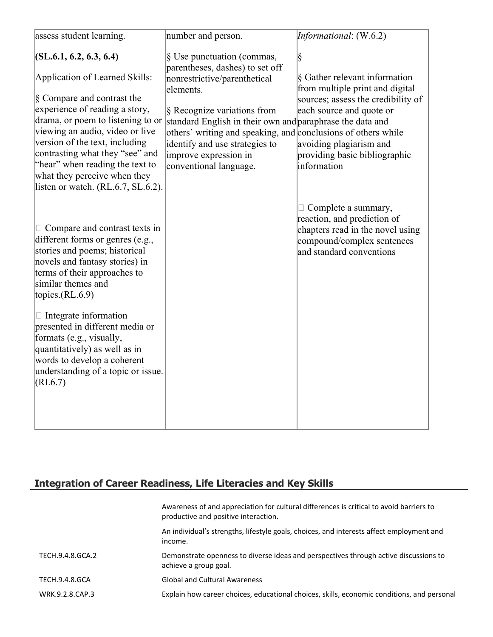| assess student learning.                                                                                                                                                                                                                                                                                                                                                                                                                                                       | number and person.                                                                                                                                                                                                                                                                                                                                           | Informational: (W.6.2)                                                                                                                                                                                             |
|--------------------------------------------------------------------------------------------------------------------------------------------------------------------------------------------------------------------------------------------------------------------------------------------------------------------------------------------------------------------------------------------------------------------------------------------------------------------------------|--------------------------------------------------------------------------------------------------------------------------------------------------------------------------------------------------------------------------------------------------------------------------------------------------------------------------------------------------------------|--------------------------------------------------------------------------------------------------------------------------------------------------------------------------------------------------------------------|
| (SL.6.1, 6.2, 6.3, 6.4)<br>Application of Learned Skills:<br>§ Compare and contrast the<br>experience of reading a story,<br>drama, or poem to listening to or<br>viewing an audio, video or live<br>version of the text, including<br>contrasting what they "see" and<br>"hear" when reading the text to<br>what they perceive when they                                                                                                                                      | § Use punctuation (commas,<br>parentheses, dashes) to set off<br>nonrestrictive/parenthetical<br>elements.<br>§ Recognize variations from<br>standard English in their own and paraphrase the data and<br>others' writing and speaking, and conclusions of others while<br>identify and use strategies to<br>improve expression in<br>conventional language. | §<br>§ Gather relevant information<br>from multiple print and digital<br>sources; assess the credibility of<br>each source and quote or<br>avoiding plagiarism and<br>providing basic bibliographic<br>information |
| listen or watch. (RL.6.7, SL.6.2).<br>$\Box$ Compare and contrast texts in<br>different forms or genres (e.g.,<br>stories and poems; historical<br>novels and fantasy stories) in<br>terms of their approaches to<br>similar themes and<br>topics. $(RL.6.9)$<br>$\Box$ Integrate information<br>presented in different media or<br>formats (e.g., visually,<br>quantitatively) as well as in<br>words to develop a coherent<br>understanding of a topic or issue.<br>(RI.6.7) |                                                                                                                                                                                                                                                                                                                                                              | $\Box$ Complete a summary,<br>reaction, and prediction of<br>chapters read in the novel using<br>compound/complex sentences<br>and standard conventions                                                            |

# **Integration of Career Readiness, Life Literacies and Key Skills**

|                  | Awareness of and appreciation for cultural differences is critical to avoid barriers to<br>productive and positive interaction. |
|------------------|---------------------------------------------------------------------------------------------------------------------------------|
|                  | An individual's strengths, lifestyle goals, choices, and interests affect employment and<br>income.                             |
| TECH.9.4.8.GCA.2 | Demonstrate openness to diverse ideas and perspectives through active discussions to<br>achieve a group goal.                   |
| TECH.9.4.8.GCA   | <b>Global and Cultural Awareness</b>                                                                                            |
| WRK.9.2.8.CAP.3  | Explain how career choices, educational choices, skills, economic conditions, and personal                                      |
|                  |                                                                                                                                 |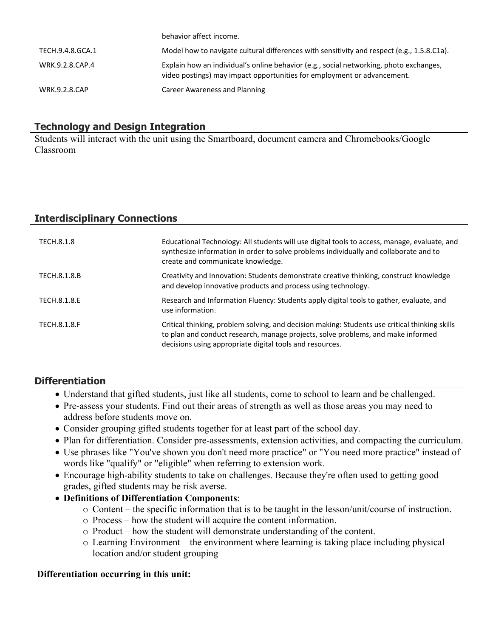|                      | behavior affect income.                                                                                                                                           |
|----------------------|-------------------------------------------------------------------------------------------------------------------------------------------------------------------|
| TECH.9.4.8.GCA.1     | Model how to navigate cultural differences with sensitivity and respect (e.g., 1.5.8.C1a).                                                                        |
| WRK.9.2.8.CAP.4      | Explain how an individual's online behavior (e.g., social networking, photo exchanges,<br>video postings) may impact opportunities for employment or advancement. |
| <b>WRK.9.2.8.CAP</b> | Career Awareness and Planning                                                                                                                                     |

#### **Technology and Design Integration**

Students will interact with the unit using the Smartboard, document camera and Chromebooks/Google Classroom

# **Interdisciplinary Connections**

| TECH.8.1.8   | Educational Technology: All students will use digital tools to access, manage, evaluate, and<br>synthesize information in order to solve problems individually and collaborate and to<br>create and communicate knowledge.                     |
|--------------|------------------------------------------------------------------------------------------------------------------------------------------------------------------------------------------------------------------------------------------------|
| TECH.8.1.8.B | Creativity and Innovation: Students demonstrate creative thinking, construct knowledge<br>and develop innovative products and process using technology.                                                                                        |
| TECH.8.1.8.E | Research and Information Fluency: Students apply digital tools to gather, evaluate, and<br>use information.                                                                                                                                    |
| TECH.8.1.8.F | Critical thinking, problem solving, and decision making: Students use critical thinking skills<br>to plan and conduct research, manage projects, solve problems, and make informed<br>decisions using appropriate digital tools and resources. |

#### **Differentiation**

- Understand that gifted students, just like all students, come to school to learn and be challenged.
- Pre-assess your students. Find out their areas of strength as well as those areas you may need to address before students move on.
- Consider grouping gifted students together for at least part of the school day.
- Plan for differentiation. Consider pre-assessments, extension activities, and compacting the curriculum.
- Use phrases like "You've shown you don't need more practice" or "You need more practice" instead of words like "qualify" or "eligible" when referring to extension work.
- Encourage high-ability students to take on challenges. Because they're often used to getting good grades, gifted students may be risk averse.
- **Definitions of Differentiation Components**:
	- o Content the specific information that is to be taught in the lesson/unit/course of instruction.
	- o Process how the student will acquire the content information.
	- o Product how the student will demonstrate understanding of the content.
	- o Learning Environment the environment where learning is taking place including physical location and/or student grouping

#### **Differentiation occurring in this unit:**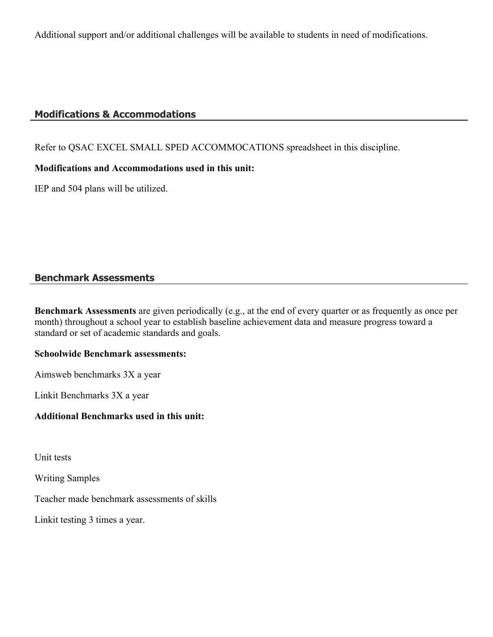Additional support and/or additional challenges will be available to students in need of modifications.

### **Modifications & Accommodations**

Refer to QSAC EXCEL SMALL SPED ACCOMMOCATIONS spreadsheet in this discipline.

#### **Modifications and Accommodations used in this unit:**

IEP and 504 plans will be utilized.

## **Benchmark Assessments**

**Benchmark Assessments** are given periodically (e.g., at the end of every quarter or as frequently as once per month) throughout a school year to establish baseline achievement data and measure progress toward a standard or set of academic standards and goals.

#### **Schoolwide Benchmark assessments:**

Aimsweb benchmarks 3X a year

Linkit Benchmarks 3X a year

#### **Additional Benchmarks used in this unit:**

Unit tests

Writing Samples

Teacher made benchmark assessments of skills

Linkit testing 3 times a year.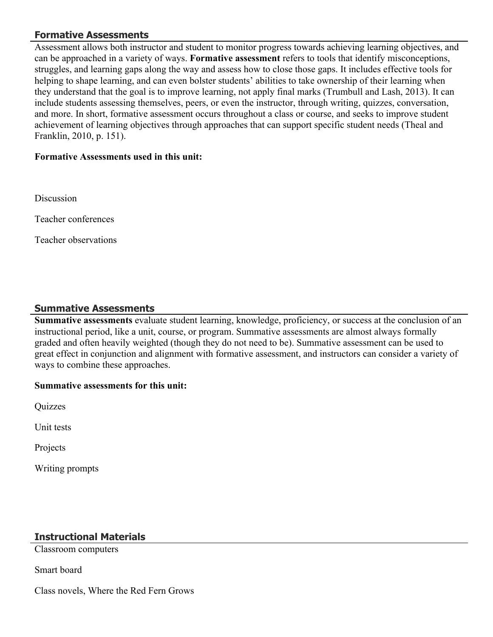#### **Formative Assessments**

Assessment allows both instructor and student to monitor progress towards achieving learning objectives, and can be approached in a variety of ways. **Formative assessment** refers to tools that identify misconceptions, struggles, and learning gaps along the way and assess how to close those gaps. It includes effective tools for helping to shape learning, and can even bolster students' abilities to take ownership of their learning when they understand that the goal is to improve learning, not apply final marks (Trumbull and Lash, 2013). It can include students assessing themselves, peers, or even the instructor, through writing, quizzes, conversation, and more. In short, formative assessment occurs throughout a class or course, and seeks to improve student achievement of learning objectives through approaches that can support specific student needs (Theal and Franklin, 2010, p. 151).

#### **Formative Assessments used in this unit:**

**Discussion** 

Teacher conferences

Teacher observations

#### **Summative Assessments**

**Summative assessments** evaluate student learning, knowledge, proficiency, or success at the conclusion of an instructional period, like a unit, course, or program. Summative assessments are almost always formally graded and often heavily weighted (though they do not need to be). Summative assessment can be used to great effect in conjunction and alignment with formative assessment, and instructors can consider a variety of ways to combine these approaches.

#### **Summative assessments for this unit:**

Quizzes

Unit tests

Projects

Writing prompts

#### **Instructional Materials**

Classroom computers

Smart board

Class novels, Where the Red Fern Grows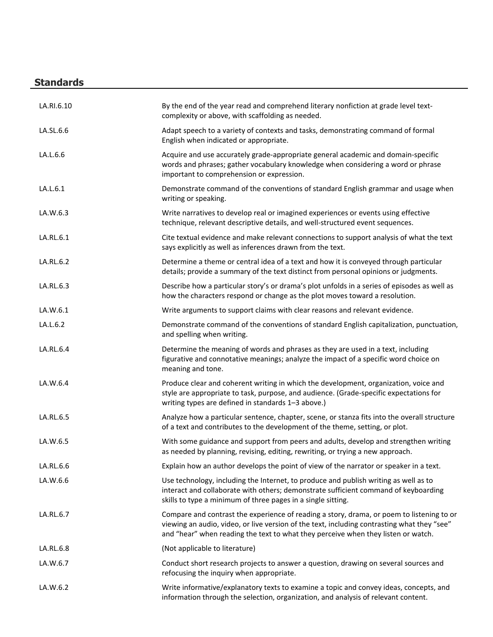# **Standards**

| LA.RI.6.10 | By the end of the year read and comprehend literary nonfiction at grade level text-<br>complexity or above, with scaffolding as needed.                                                                                                                                       |
|------------|-------------------------------------------------------------------------------------------------------------------------------------------------------------------------------------------------------------------------------------------------------------------------------|
| LA.SL.6.6  | Adapt speech to a variety of contexts and tasks, demonstrating command of formal<br>English when indicated or appropriate.                                                                                                                                                    |
| LA.L.6.6   | Acquire and use accurately grade-appropriate general academic and domain-specific<br>words and phrases; gather vocabulary knowledge when considering a word or phrase<br>important to comprehension or expression.                                                            |
| LA.L.6.1   | Demonstrate command of the conventions of standard English grammar and usage when<br>writing or speaking.                                                                                                                                                                     |
| LA.W.6.3   | Write narratives to develop real or imagined experiences or events using effective<br>technique, relevant descriptive details, and well-structured event sequences.                                                                                                           |
| LA.RL.6.1  | Cite textual evidence and make relevant connections to support analysis of what the text<br>says explicitly as well as inferences drawn from the text.                                                                                                                        |
| LA.RL.6.2  | Determine a theme or central idea of a text and how it is conveyed through particular<br>details; provide a summary of the text distinct from personal opinions or judgments.                                                                                                 |
| LA.RL.6.3  | Describe how a particular story's or drama's plot unfolds in a series of episodes as well as<br>how the characters respond or change as the plot moves toward a resolution.                                                                                                   |
| LA.W.6.1   | Write arguments to support claims with clear reasons and relevant evidence.                                                                                                                                                                                                   |
| LA.L.6.2   | Demonstrate command of the conventions of standard English capitalization, punctuation,<br>and spelling when writing.                                                                                                                                                         |
| LA.RL.6.4  | Determine the meaning of words and phrases as they are used in a text, including<br>figurative and connotative meanings; analyze the impact of a specific word choice on<br>meaning and tone.                                                                                 |
| LA.W.6.4   | Produce clear and coherent writing in which the development, organization, voice and<br>style are appropriate to task, purpose, and audience. (Grade-specific expectations for<br>writing types are defined in standards 1-3 above.)                                          |
| LA.RL.6.5  | Analyze how a particular sentence, chapter, scene, or stanza fits into the overall structure<br>of a text and contributes to the development of the theme, setting, or plot.                                                                                                  |
| LA.W.6.5   | With some guidance and support from peers and adults, develop and strengthen writing<br>as needed by planning, revising, editing, rewriting, or trying a new approach.                                                                                                        |
| LA.RL.6.6  | Explain how an author develops the point of view of the narrator or speaker in a text.                                                                                                                                                                                        |
| LA.W.6.6   | Use technology, including the Internet, to produce and publish writing as well as to<br>interact and collaborate with others; demonstrate sufficient command of keyboarding<br>skills to type a minimum of three pages in a single sitting.                                   |
| LA.RL.6.7  | Compare and contrast the experience of reading a story, drama, or poem to listening to or<br>viewing an audio, video, or live version of the text, including contrasting what they "see"<br>and "hear" when reading the text to what they perceive when they listen or watch. |
| LA.RL.6.8  | (Not applicable to literature)                                                                                                                                                                                                                                                |
| LA.W.6.7   | Conduct short research projects to answer a question, drawing on several sources and<br>refocusing the inquiry when appropriate.                                                                                                                                              |
| LA.W.6.2   | Write informative/explanatory texts to examine a topic and convey ideas, concepts, and<br>information through the selection, organization, and analysis of relevant content.                                                                                                  |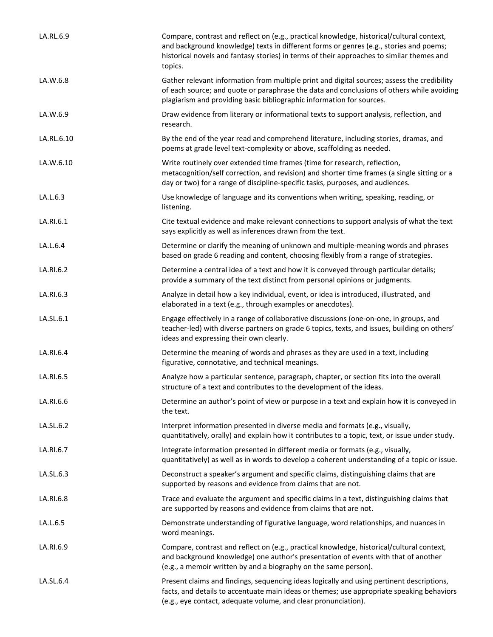| LA.RL.6.9  | Compare, contrast and reflect on (e.g., practical knowledge, historical/cultural context,<br>and background knowledge) texts in different forms or genres (e.g., stories and poems;<br>historical novels and fantasy stories) in terms of their approaches to similar themes and<br>topics. |
|------------|---------------------------------------------------------------------------------------------------------------------------------------------------------------------------------------------------------------------------------------------------------------------------------------------|
| LA.W.6.8   | Gather relevant information from multiple print and digital sources; assess the credibility<br>of each source; and quote or paraphrase the data and conclusions of others while avoiding<br>plagiarism and providing basic bibliographic information for sources.                           |
| LA.W.6.9   | Draw evidence from literary or informational texts to support analysis, reflection, and<br>research.                                                                                                                                                                                        |
| LA.RL.6.10 | By the end of the year read and comprehend literature, including stories, dramas, and<br>poems at grade level text-complexity or above, scaffolding as needed.                                                                                                                              |
| LA.W.6.10  | Write routinely over extended time frames (time for research, reflection,<br>metacognition/self correction, and revision) and shorter time frames (a single sitting or a<br>day or two) for a range of discipline-specific tasks, purposes, and audiences.                                  |
| LA.L.6.3   | Use knowledge of language and its conventions when writing, speaking, reading, or<br>listening.                                                                                                                                                                                             |
| LA.RI.6.1  | Cite textual evidence and make relevant connections to support analysis of what the text<br>says explicitly as well as inferences drawn from the text.                                                                                                                                      |
| LA.L.6.4   | Determine or clarify the meaning of unknown and multiple-meaning words and phrases<br>based on grade 6 reading and content, choosing flexibly from a range of strategies.                                                                                                                   |
| LA.RI.6.2  | Determine a central idea of a text and how it is conveyed through particular details;<br>provide a summary of the text distinct from personal opinions or judgments.                                                                                                                        |
| LA.RI.6.3  | Analyze in detail how a key individual, event, or idea is introduced, illustrated, and<br>elaborated in a text (e.g., through examples or anecdotes).                                                                                                                                       |
| LA.SL.6.1  | Engage effectively in a range of collaborative discussions (one-on-one, in groups, and<br>teacher-led) with diverse partners on grade 6 topics, texts, and issues, building on others'<br>ideas and expressing their own clearly.                                                           |
| LA.RI.6.4  | Determine the meaning of words and phrases as they are used in a text, including<br>figurative, connotative, and technical meanings.                                                                                                                                                        |
| LA.RI.6.5  | Analyze how a particular sentence, paragraph, chapter, or section fits into the overall<br>structure of a text and contributes to the development of the ideas.                                                                                                                             |
| LA.RI.6.6  | Determine an author's point of view or purpose in a text and explain how it is conveyed in<br>the text.                                                                                                                                                                                     |
| LA.SL.6.2  | Interpret information presented in diverse media and formats (e.g., visually,<br>quantitatively, orally) and explain how it contributes to a topic, text, or issue under study.                                                                                                             |
| LA.RI.6.7  | Integrate information presented in different media or formats (e.g., visually,<br>quantitatively) as well as in words to develop a coherent understanding of a topic or issue.                                                                                                              |
| LA.SL.6.3  | Deconstruct a speaker's argument and specific claims, distinguishing claims that are<br>supported by reasons and evidence from claims that are not.                                                                                                                                         |
| LA.RI.6.8  | Trace and evaluate the argument and specific claims in a text, distinguishing claims that<br>are supported by reasons and evidence from claims that are not.                                                                                                                                |
| LA.L.6.5   | Demonstrate understanding of figurative language, word relationships, and nuances in<br>word meanings.                                                                                                                                                                                      |
| LA.RI.6.9  | Compare, contrast and reflect on (e.g., practical knowledge, historical/cultural context,<br>and background knowledge) one author's presentation of events with that of another<br>(e.g., a memoir written by and a biography on the same person).                                          |
| LA.SL.6.4  | Present claims and findings, sequencing ideas logically and using pertinent descriptions,<br>facts, and details to accentuate main ideas or themes; use appropriate speaking behaviors<br>(e.g., eye contact, adequate volume, and clear pronunciation).                                    |